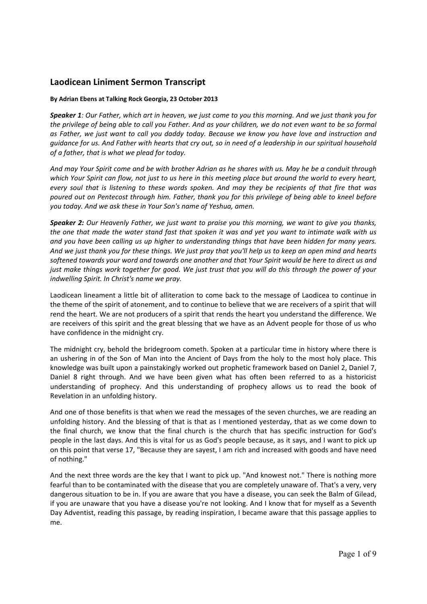## **Laodicean Liniment Sermon Transcript**

## **By Adrian Ebens at Talking Rock Georgia, 23 October 2013**

*Speaker 1: Our Father, which art in heaven, we just come to you this morning. And we just thank you for the privilege of being able to call you Father. And as your children, we do not even want to be so formal as Father, we just want to call you daddy today. Because we know you have love and instruction and guidance for us. And Father with hearts that cry out, so in need of a leadership in our spiritual household of a father, that is what we plead for today.* 

*And may Your Spirit come and be with brother Adrian as he shares with us. May he be a conduit through which Your Spirit can flow, not just to us here in this meeting place but around the world to every heart, every soul that is listening to these words spoken. And may they be recipients of that fire that was poured out on Pentecost through him. Father, thank you for this privilege of being able to kneel before you today. And we ask these in Your Son's name of Yeshua, amen.*

*Speaker 2: Our Heavenly Father, we just want to praise you this morning, we want to give you thanks, the one that made the water stand fast that spoken it was and yet you want to intimate walk with us and you have been calling us up higher to understanding things that have been hidden for many years. And we just thank you for these things. We just pray that you'll help us to keep an open mind and hearts softened towards your word and towards one another and that Your Spirit would be here to direct us and just make things work together for good. We just trust that you will do this through the power of your indwelling Spirit. In Christ's name we pray.* 

Laodicean lineament a little bit of alliteration to come back to the message of Laodicea to continue in the theme of the spirit of atonement, and to continue to believe that we are receivers of a spirit that will rend the heart. We are not producers of a spirit that rends the heart you understand the difference. We are receivers of this spirit and the great blessing that we have as an Advent people for those of us who have confidence in the midnight cry.

The midnight cry, behold the bridegroom cometh. Spoken at a particular time in history where there is an ushering in of the Son of Man into the Ancient of Days from the holy to the most holy place. This knowledge was built upon a painstakingly worked out prophetic framework based on Daniel 2, Daniel 7, Daniel 8 right through. And we have been given what has often been referred to as a historicist understanding of prophecy. And this understanding of prophecy allows us to read the book of Revelation in an unfolding history.

And one of those benefits is that when we read the messages of the seven churches, we are reading an unfolding history. And the blessing of that is that as I mentioned yesterday, that as we come down to the final church, we know that the final church is the church that has specific instruction for God's people in the last days. And this is vital for us as God's people because, as it says, and I want to pick up on this point that verse 17, "Because they are sayest, I am rich and increased with goods and have need of nothing."

And the next three words are the key that I want to pick up. "And knowest not." There is nothing more fearful than to be contaminated with the disease that you are completely unaware of. That's a very, very dangerous situation to be in. If you are aware that you have a disease, you can seek the Balm of Gilead, if you are unaware that you have a disease you're not looking. And I know that for myself as a Seventh Day Adventist, reading this passage, by reading inspiration, I became aware that this passage applies to me.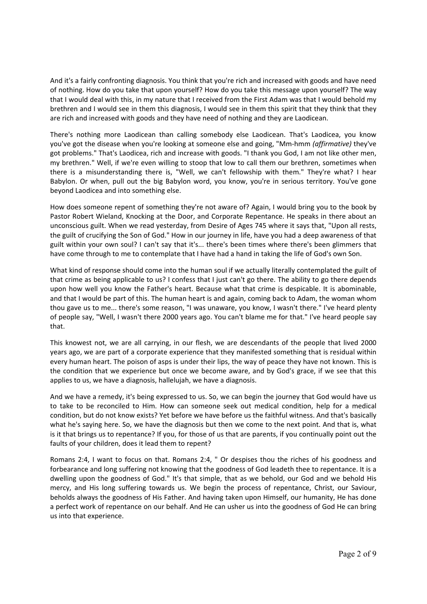And it's a fairly confronting diagnosis. You think that you're rich and increased with goods and have need of nothing. How do you take that upon yourself? How do you take this message upon yourself? The way that I would deal with this, in my nature that I received from the First Adam was that I would behold my brethren and I would see in them this diagnosis, I would see in them this spirit that they think that they are rich and increased with goods and they have need of nothing and they are Laodicean.

There's nothing more Laodicean than calling somebody else Laodicean. That's Laodicea, you know you've got the disease when you're looking at someone else and going, "Mm‐hmm *(affirmative)* they've got problems." That's Laodicea, rich and increase with goods. "I thank you God, I am not like other men, my brethren." Well, if we're even willing to stoop that low to call them our brethren, sometimes when there is a misunderstanding there is, "Well, we can't fellowship with them." They're what? I hear Babylon. Or when, pull out the big Babylon word, you know, you're in serious territory. You've gone beyond Laodicea and into something else.

How does someone repent of something they're not aware of? Again, I would bring you to the book by Pastor Robert Wieland, Knocking at the Door, and Corporate Repentance. He speaks in there about an unconscious guilt. When we read yesterday, from Desire of Ages 745 where it says that, "Upon all rests, the guilt of crucifying the Son of God." How in our journey in life, have you had a deep awareness of that guilt within your own soul? I can't say that it's... there's been times where there's been glimmers that have come through to me to contemplate that I have had a hand in taking the life of God's own Son.

What kind of response should come into the human soul if we actually literally contemplated the guilt of that crime as being applicable to us? I confess that I just can't go there. The ability to go there depends upon how well you know the Father's heart. Because what that crime is despicable. It is abominable, and that I would be part of this. The human heart is and again, coming back to Adam, the woman whom thou gave us to me... there's some reason, "I was unaware, you know, I wasn't there." I've heard plenty of people say, "Well, I wasn't there 2000 years ago. You can't blame me for that." I've heard people say that.

This knowest not, we are all carrying, in our flesh, we are descendants of the people that lived 2000 years ago, we are part of a corporate experience that they manifested something that is residual within every human heart. The poison of asps is under their lips, the way of peace they have not known. This is the condition that we experience but once we become aware, and by God's grace, if we see that this applies to us, we have a diagnosis, hallelujah, we have a diagnosis.

And we have a remedy, it's being expressed to us. So, we can begin the journey that God would have us to take to be reconciled to Him. How can someone seek out medical condition, help for a medical condition, but do not know exists? Yet before we have before us the faithful witness. And that's basically what he's saying here. So, we have the diagnosis but then we come to the next point. And that is, what is it that brings us to repentance? If you, for those of us that are parents, if you continually point out the faults of your children, does it lead them to repent?

Romans 2:4, I want to focus on that. Romans 2:4, " Or despises thou the riches of his goodness and forbearance and long suffering not knowing that the goodness of God leadeth thee to repentance. It is a dwelling upon the goodness of God." It's that simple, that as we behold, our God and we behold His mercy, and His long suffering towards us. We begin the process of repentance, Christ, our Saviour, beholds always the goodness of His Father. And having taken upon Himself, our humanity, He has done a perfect work of repentance on our behalf. And He can usher us into the goodness of God He can bring us into that experience.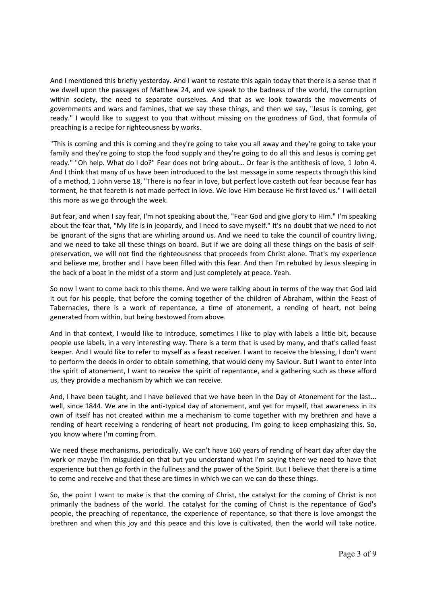And I mentioned this briefly yesterday. And I want to restate this again today that there is a sense that if we dwell upon the passages of Matthew 24, and we speak to the badness of the world, the corruption within society, the need to separate ourselves. And that as we look towards the movements of governments and wars and famines, that we say these things, and then we say, "Jesus is coming, get ready." I would like to suggest to you that without missing on the goodness of God, that formula of preaching is a recipe for righteousness by works.

"This is coming and this is coming and they're going to take you all away and they're going to take your family and they're going to stop the food supply and they're going to do all this and Jesus is coming get ready." "Oh help. What do I do?" Fear does not bring about… Or fear is the antithesis of love, 1 John 4. And I think that many of us have been introduced to the last message in some respects through this kind of a method, 1 John verse 18, "There is no fear in love, but perfect love casteth out fear because fear has torment, he that feareth is not made perfect in love. We love Him because He first loved us." I will detail this more as we go through the week.

But fear, and when I say fear, I'm not speaking about the, "Fear God and give glory to Him." I'm speaking about the fear that, "My life is in jeopardy, and I need to save myself." It's no doubt that we need to not be ignorant of the signs that are whirling around us. And we need to take the council of country living, and we need to take all these things on board. But if we are doing all these things on the basis of selfpreservation, we will not find the righteousness that proceeds from Christ alone. That's my experience and believe me, brother and I have been filled with this fear. And then I'm rebuked by Jesus sleeping in the back of a boat in the midst of a storm and just completely at peace. Yeah.

So now I want to come back to this theme. And we were talking about in terms of the way that God laid it out for his people, that before the coming together of the children of Abraham, within the Feast of Tabernacles, there is a work of repentance, a time of atonement, a rending of heart, not being generated from within, but being bestowed from above.

And in that context, I would like to introduce, sometimes I like to play with labels a little bit, because people use labels, in a very interesting way. There is a term that is used by many, and that's called feast keeper. And I would like to refer to myself as a feast receiver. I want to receive the blessing, I don't want to perform the deeds in order to obtain something, that would deny my Saviour. But I want to enter into the spirit of atonement, I want to receive the spirit of repentance, and a gathering such as these afford us, they provide a mechanism by which we can receive.

And, I have been taught, and I have believed that we have been in the Day of Atonement for the last... well, since 1844. We are in the anti-typical day of atonement, and yet for myself, that awareness in its own of itself has not created within me a mechanism to come together with my brethren and have a rending of heart receiving a rendering of heart not producing, I'm going to keep emphasizing this. So, you know where I'm coming from.

We need these mechanisms, periodically. We can't have 160 years of rending of heart day after day the work or maybe I'm misguided on that but you understand what I'm saying there we need to have that experience but then go forth in the fullness and the power of the Spirit. But I believe that there is a time to come and receive and that these are times in which we can we can do these things.

So, the point I want to make is that the coming of Christ, the catalyst for the coming of Christ is not primarily the badness of the world. The catalyst for the coming of Christ is the repentance of God's people, the preaching of repentance, the experience of repentance, so that there is love amongst the brethren and when this joy and this peace and this love is cultivated, then the world will take notice.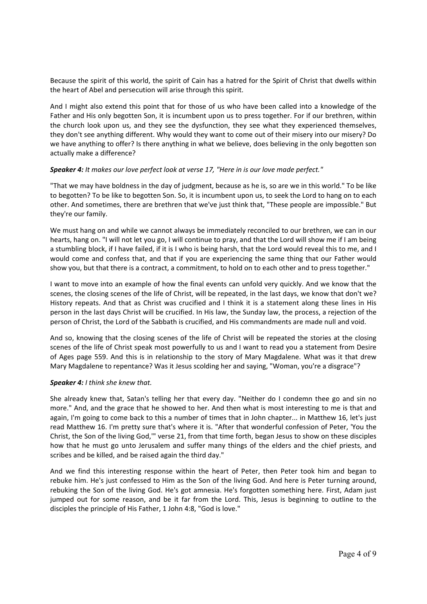Because the spirit of this world, the spirit of Cain has a hatred for the Spirit of Christ that dwells within the heart of Abel and persecution will arise through this spirit.

And I might also extend this point that for those of us who have been called into a knowledge of the Father and His only begotten Son, it is incumbent upon us to press together. For if our brethren, within the church look upon us, and they see the dysfunction, they see what they experienced themselves, they don't see anything different. Why would they want to come out of their misery into our misery? Do we have anything to offer? Is there anything in what we believe, does believing in the only begotten son actually make a difference?

## *Speaker 4: It makes our love perfect look at verse 17, "Here in is our love made perfect."*

"That we may have boldness in the day of judgment, because as he is, so are we in this world." To be like to begotten? To be like to begotten Son. So, it is incumbent upon us, to seek the Lord to hang on to each other. And sometimes, there are brethren that we've just think that, "These people are impossible." But they're our family.

We must hang on and while we cannot always be immediately reconciled to our brethren, we can in our hearts, hang on. "I will not let you go, I will continue to pray, and that the Lord will show me if I am being a stumbling block, if I have failed, if it is I who is being harsh, that the Lord would reveal this to me, and I would come and confess that, and that if you are experiencing the same thing that our Father would show you, but that there is a contract, a commitment, to hold on to each other and to press together."

I want to move into an example of how the final events can unfold very quickly. And we know that the scenes, the closing scenes of the life of Christ, will be repeated, in the last days, we know that don't we? History repeats. And that as Christ was crucified and I think it is a statement along these lines in His person in the last days Christ will be crucified. In His law, the Sunday law, the process, a rejection of the person of Christ, the Lord of the Sabbath is crucified, and His commandments are made null and void.

And so, knowing that the closing scenes of the life of Christ will be repeated the stories at the closing scenes of the life of Christ speak most powerfully to us and I want to read you a statement from Desire of Ages page 559. And this is in relationship to the story of Mary Magdalene. What was it that drew Mary Magdalene to repentance? Was it Jesus scolding her and saying, "Woman, you're a disgrace"?

## *Speaker 4: I think she knew that.*

She already knew that, Satan's telling her that every day. "Neither do I condemn thee go and sin no more." And, and the grace that he showed to her. And then what is most interesting to me is that and again, I'm going to come back to this a number of times that in John chapter... in Matthew 16, let's just read Matthew 16. I'm pretty sure that's where it is. "After that wonderful confession of Peter, 'You the Christ, the Son of the living God,'" verse 21, from that time forth, began Jesus to show on these disciples how that he must go unto Jerusalem and suffer many things of the elders and the chief priests, and scribes and be killed, and be raised again the third day."

And we find this interesting response within the heart of Peter, then Peter took him and began to rebuke him. He's just confessed to Him as the Son of the living God. And here is Peter turning around, rebuking the Son of the living God. He's got amnesia. He's forgotten something here. First, Adam just jumped out for some reason, and be it far from the Lord. This, Jesus is beginning to outline to the disciples the principle of His Father, 1 John 4:8, "God is love."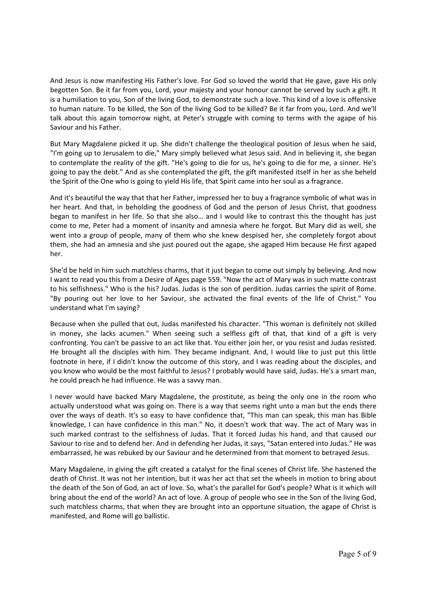And Jesus is now manifesting His Father's love. For God so loved the world that He gave, gave His only begotten Son. Be it far from you, Lord, your majesty and your honour cannot be served by such a gift. It is a humiliation to you, Son of the living God, to demonstrate such a love. This kind of a love is offensive to human nature. To be killed, the Son of the living God to be killed? Be it far from you, Lord. And we'll talk about this again tomorrow night, at Peter's struggle with coming to terms with the agape of his Saviour and his Father.

But Mary Magdalene picked it up. She didn't challenge the theological position of Jesus when he said, "I'm going up to Jerusalem to die," Mary simply believed what Jesus said. And in believing it, she began to contemplate the reality of the gift. "He's going to die for us, he's going to die for me, a sinner. He's going to pay the debt." And as she contemplated the gift, the gift manifested itself in her as she beheld the Spirit of the One who is going to yield His life, that Spirit came into her soul as a fragrance.

And it's beautiful the way that that her Father, impressed her to buy a fragrance symbolic of what was in her heart. And that, in beholding the goodness of God and the person of Jesus Christ, that goodness began to manifest in her life. So that she also… and I would like to contrast this the thought has just come to me, Peter had a moment of insanity and amnesia where he forgot. But Mary did as well, she went into a group of people, many of them who she knew despised her, she completely forgot about them, she had an amnesia and she just poured out the agape, she agaped Him because He first agaped her.

She'd be held in him such matchless charms, that it just began to come out simply by believing. And now I want to read you this from a Desire of Ages page 559. "Now the act of Mary was in such matte contrast to his selfishness." Who is the his? Judas. Judas is the son of perdition. Judas carries the spirit of Rome. "By pouring out her love to her Saviour, she activated the final events of the life of Christ." You understand what I'm saying?

Because when she pulled that out, Judas manifested his character. "This woman is definitely not skilled in money, she lacks acumen." When seeing such a selfless gift of that, that kind of a gift is very confronting. You can't be passive to an act like that. You either join her, or you resist and Judas resisted. He brought all the disciples with him. They became indignant. And, I would like to just put this little footnote in here, if I didn't know the outcome of this story, and I was reading about the disciples, and you know who would be the most faithful to Jesus? I probably would have said, Judas. He's a smart man, he could preach he had influence. He was a savvy man.

I never would have backed Mary Magdalene, the prostitute, as being the only one in the room who actually understood what was going on. There is a way that seems right unto a man but the ends there over the ways of death. It's so easy to have confidence that, "This man can speak, this man has Bible knowledge, I can have confidence in this man." No, it doesn't work that way. The act of Mary was in such marked contrast to the selfishness of Judas. That it forced Judas his hand, and that caused our Saviour to rise and to defend her. And in defending her Judas, it says, "Satan entered into Judas." He was embarrassed, he was rebuked by our Saviour and he determined from that moment to betrayed Jesus.

Mary Magdalene, in giving the gift created a catalyst for the final scenes of Christ life. She hastened the death of Christ. It was not her intention, but it was her act that set the wheels in motion to bring about the death of the Son of God, an act of love. So, what's the parallel for God's people? What is it which will bring about the end of the world? An act of love. A group of people who see in the Son of the living God, such matchless charms, that when they are brought into an opportune situation, the agape of Christ is manifested, and Rome will go ballistic.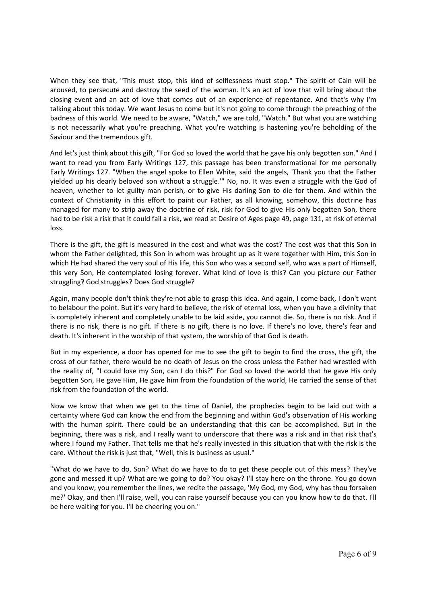When they see that, "This must stop, this kind of selflessness must stop." The spirit of Cain will be aroused, to persecute and destroy the seed of the woman. It's an act of love that will bring about the closing event and an act of love that comes out of an experience of repentance. And that's why I'm talking about this today. We want Jesus to come but it's not going to come through the preaching of the badness of this world. We need to be aware, "Watch," we are told, "Watch." But what you are watching is not necessarily what you're preaching. What you're watching is hastening you're beholding of the Saviour and the tremendous gift.

And let's just think about this gift, "For God so loved the world that he gave his only begotten son." And I want to read you from Early Writings 127, this passage has been transformational for me personally Early Writings 127. "When the angel spoke to Ellen White, said the angels, 'Thank you that the Father yielded up his dearly beloved son without a struggle.'" No, no. It was even a struggle with the God of heaven, whether to let guilty man perish, or to give His darling Son to die for them. And within the context of Christianity in this effort to paint our Father, as all knowing, somehow, this doctrine has managed for many to strip away the doctrine of risk, risk for God to give His only begotten Son, there had to be risk a risk that it could fail a risk, we read at Desire of Ages page 49, page 131, at risk of eternal loss.

There is the gift, the gift is measured in the cost and what was the cost? The cost was that this Son in whom the Father delighted, this Son in whom was brought up as it were together with Him, this Son in which He had shared the very soul of His life, this Son who was a second self, who was a part of Himself, this very Son, He contemplated losing forever. What kind of love is this? Can you picture our Father struggling? God struggles? Does God struggle?

Again, many people don't think they're not able to grasp this idea. And again, I come back, I don't want to belabour the point. But it's very hard to believe, the risk of eternal loss, when you have a divinity that is completely inherent and completely unable to be laid aside, you cannot die. So, there is no risk. And if there is no risk, there is no gift. If there is no gift, there is no love. If there's no love, there's fear and death. It's inherent in the worship of that system, the worship of that God is death.

But in my experience, a door has opened for me to see the gift to begin to find the cross, the gift, the cross of our father, there would be no death of Jesus on the cross unless the Father had wrestled with the reality of, "I could lose my Son, can I do this?" For God so loved the world that he gave His only begotten Son, He gave Him, He gave him from the foundation of the world, He carried the sense of that risk from the foundation of the world.

Now we know that when we get to the time of Daniel, the prophecies begin to be laid out with a certainty where God can know the end from the beginning and within God's observation of His working with the human spirit. There could be an understanding that this can be accomplished. But in the beginning, there was a risk, and I really want to underscore that there was a risk and in that risk that's where I found my Father. That tells me that he's really invested in this situation that with the risk is the care. Without the risk is just that, "Well, this is business as usual."

"What do we have to do, Son? What do we have to do to get these people out of this mess? They've gone and messed it up? What are we going to do? You okay? I'll stay here on the throne. You go down and you know, you remember the lines, we recite the passage, 'My God, my God, why has thou forsaken me?' Okay, and then I'll raise, well, you can raise yourself because you can you know how to do that. I'll be here waiting for you. I'll be cheering you on."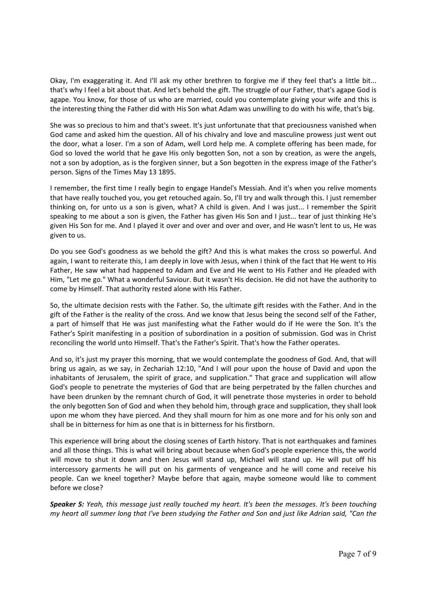Okay, I'm exaggerating it. And I'll ask my other brethren to forgive me if they feel that's a little bit... that's why I feel a bit about that. And let's behold the gift. The struggle of our Father, that's agape God is agape. You know, for those of us who are married, could you contemplate giving your wife and this is the interesting thing the Father did with His Son what Adam was unwilling to do with his wife, that's big.

She was so precious to him and that's sweet. It's just unfortunate that that preciousness vanished when God came and asked him the question. All of his chivalry and love and masculine prowess just went out the door, what a loser. I'm a son of Adam, well Lord help me. A complete offering has been made, for God so loved the world that he gave His only begotten Son, not a son by creation, as were the angels, not a son by adoption, as is the forgiven sinner, but a Son begotten in the express image of the Father's person. Signs of the Times May 13 1895.

I remember, the first time I really begin to engage Handel's Messiah. And it's when you relive moments that have really touched you, you get retouched again. So, I'll try and walk through this. I just remember thinking on, for unto us a son is given, what? A child is given. And I was just... I remember the Spirit speaking to me about a son is given, the Father has given His Son and I just... tear of just thinking He's given His Son for me. And I played it over and over and over and over, and He wasn't lent to us, He was given to us.

Do you see God's goodness as we behold the gift? And this is what makes the cross so powerful. And again, I want to reiterate this, I am deeply in love with Jesus, when I think of the fact that He went to His Father, He saw what had happened to Adam and Eve and He went to His Father and He pleaded with Him, "Let me go." What a wonderful Saviour. But it wasn't His decision. He did not have the authority to come by Himself. That authority rested alone with His Father.

So, the ultimate decision rests with the Father. So, the ultimate gift resides with the Father. And in the gift of the Father is the reality of the cross. And we know that Jesus being the second self of the Father, a part of himself that He was just manifesting what the Father would do if He were the Son. It's the Father's Spirit manifesting in a position of subordination in a position of submission. God was in Christ reconciling the world unto Himself. That's the Father's Spirit. That's how the Father operates.

And so, it's just my prayer this morning, that we would contemplate the goodness of God. And, that will bring us again, as we say, in Zechariah 12:10, "And I will pour upon the house of David and upon the inhabitants of Jerusalem, the spirit of grace, and supplication." That grace and supplication will allow God's people to penetrate the mysteries of God that are being perpetrated by the fallen churches and have been drunken by the remnant church of God, it will penetrate those mysteries in order to behold the only begotten Son of God and when they behold him, through grace and supplication, they shall look upon me whom they have pierced. And they shall mourn for him as one more and for his only son and shall be in bitterness for him as one that is in bitterness for his firstborn.

This experience will bring about the closing scenes of Earth history. That is not earthquakes and famines and all those things. This is what will bring about because when God's people experience this, the world will move to shut it down and then Jesus will stand up, Michael will stand up. He will put off his intercessory garments he will put on his garments of vengeance and he will come and receive his people. Can we kneel together? Maybe before that again, maybe someone would like to comment before we close?

*Speaker 5: Yeah, this message just really touched my heart. It's been the messages. It's been touching my heart all summer long that I've been studying the Father and Son and just like Adrian said, "Can the*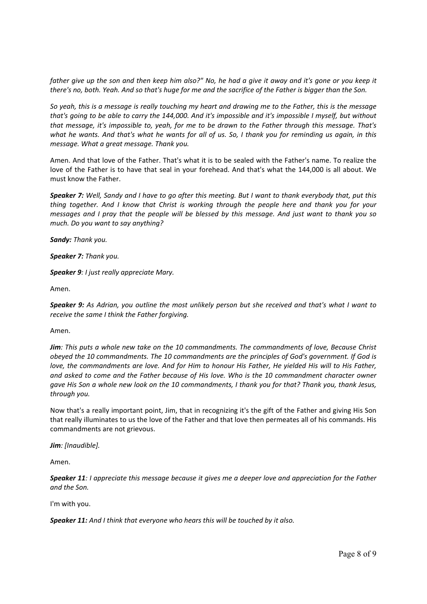*father give up the son and then keep him also?" No, he had a give it away and it's gone or you keep it there's no, both. Yeah. And so that's huge for me and the sacrifice of the Father is bigger than the Son.* 

*So yeah, this is a message is really touching my heart and drawing me to the Father, this is the message that's going to be able to carry the 144,000. And it's impossible and it's impossible I myself, but without that message, it's impossible to, yeah, for me to be drawn to the Father through this message. That's what he wants. And that's what he wants for all of us. So, I thank you for reminding us again, in this message. What a great message. Thank you.* 

Amen. And that love of the Father. That's what it is to be sealed with the Father's name. To realize the love of the Father is to have that seal in your forehead. And that's what the 144,000 is all about. We must know the Father.

*Speaker 7: Well, Sandy and I have to go after this meeting. But I want to thank everybody that, put this thing together. And I know that Christ is working through the people here and thank you for your messages and I pray that the people will be blessed by this message. And just want to thank you so much. Do you want to say anything?* 

*Sandy: Thank you.* 

*Speaker 7: Thank you.* 

*Speaker 9: I just really appreciate Mary.* 

Amen.

*Speaker 9: As Adrian, you outline the most unlikely person but she received and that's what I want to receive the same I think the Father forgiving.* 

Amen.

*Jim: This puts a whole new take on the 10 commandments. The commandments of love, Because Christ obeyed the 10 commandments. The 10 commandments are the principles of God's government. If God is love, the commandments are love. And for Him to honour His Father, He yielded His will to His Father, and asked to come and the Father because of His love. Who is the 10 commandment character owner gave His Son a whole new look on the 10 commandments, I thank you for that? Thank you, thank Jesus, through you.* 

Now that's a really important point, Jim, that in recognizing it's the gift of the Father and giving His Son that really illuminates to us the love of the Father and that love then permeates all of his commands. His commandments are not grievous.

*Jim: [Inaudible].* 

Amen.

*Speaker 11: I appreciate this message because it gives me a deeper love and appreciation for the Father and the Son.* 

I'm with you.

*Speaker 11: And I think that everyone who hears this will be touched by it also.*